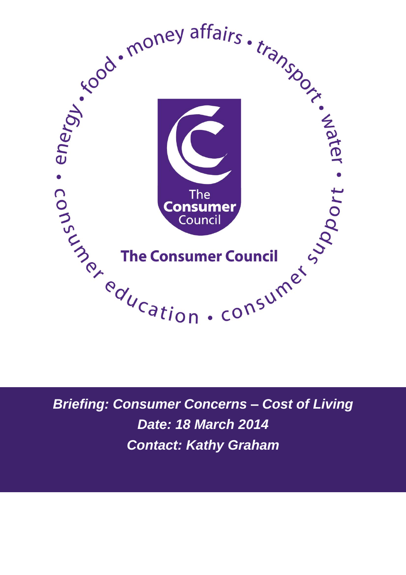

*Briefing: Consumer Concerns – Cost of Living Date: 18 March 2014 Contact: Kathy Graham*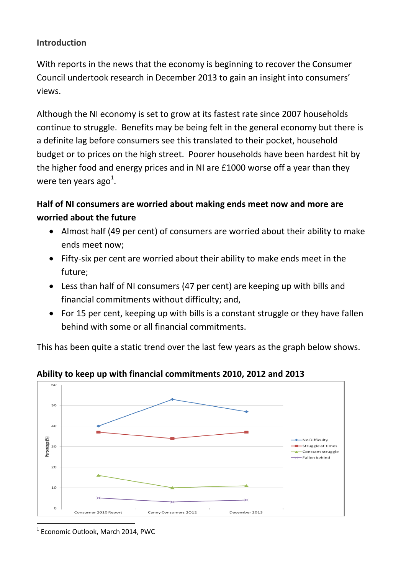### **Introduction**

With reports in the news that the economy is beginning to recover the Consumer Council undertook research in December 2013 to gain an insight into consumers' views.

Although the NI economy is set to grow at its fastest rate since 2007 households continue to struggle. Benefits may be being felt in the general economy but there is a definite lag before consumers see this translated to their pocket, household budget or to prices on the high street. Poorer households have been hardest hit by the higher food and energy prices and in NI are £1000 worse off a year than they were ten years ago<sup>1</sup>.

## **Half of NI consumers are worried about making ends meet now and more are worried about the future**

- Almost half (49 per cent) of consumers are worried about their ability to make ends meet now;
- Fifty-six per cent are worried about their ability to make ends meet in the future;
- Less than half of NI consumers (47 per cent) are keeping up with bills and financial commitments without difficulty; and,
- For 15 per cent, keeping up with bills is a constant struggle or they have fallen behind with some or all financial commitments.

This has been quite a static trend over the last few years as the graph below shows.



**Ability to keep up with financial commitments 2010, 2012 and 2013**

1 Economic Outlook, March 2014, PWC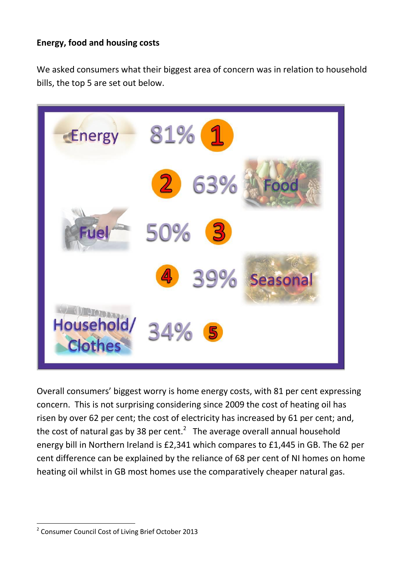### **Energy, food and housing costs**

We asked consumers what their biggest area of concern was in relation to household bills, the top 5 are set out below.



Overall consumers' biggest worry is home energy costs, with 81 per cent expressing concern. This is not surprising considering since 2009 the cost of heating oil has risen by over 62 per cent; the cost of electricity has increased by 61 per cent; and, the cost of natural gas by 38 per cent. $^2$  The average overall annual household energy bill in Northern Ireland is £2,341 which compares to £1,445 in GB. The 62 per cent difference can be explained by the reliance of 68 per cent of NI homes on home heating oil whilst in GB most homes use the comparatively cheaper natural gas.

 $\overline{a}$ <sup>2</sup> Consumer Council Cost of Living Brief October 2013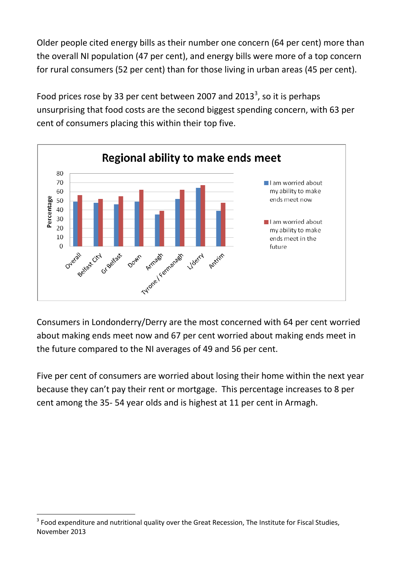Older people cited energy bills as their number one concern (64 per cent) more than the overall NI population (47 per cent), and energy bills were more of a top concern for rural consumers (52 per cent) than for those living in urban areas (45 per cent).

Food prices rose by 33 per cent between 2007 and 2013<sup>3</sup>, so it is perhaps unsurprising that food costs are the second biggest spending concern, with 63 per cent of consumers placing this within their top five.



Consumers in Londonderry/Derry are the most concerned with 64 per cent worried about making ends meet now and 67 per cent worried about making ends meet in the future compared to the NI averages of 49 and 56 per cent.

Five per cent of consumers are worried about losing their home within the next year because they can't pay their rent or mortgage. This percentage increases to 8 per cent among the 35- 54 year olds and is highest at 11 per cent in Armagh.

 $\overline{a}$  $3$  Food expenditure and nutritional quality over the Great Recession, The Institute for Fiscal Studies, November 2013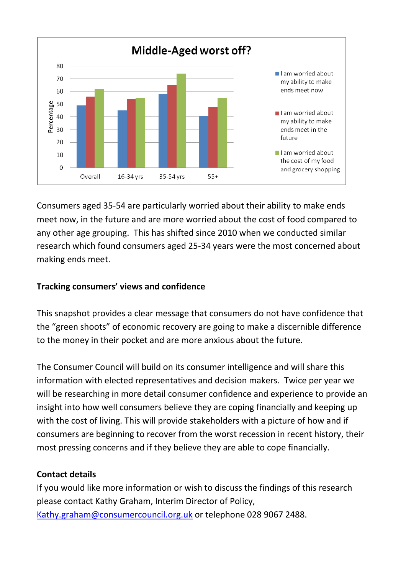

Consumers aged 35-54 are particularly worried about their ability to make ends meet now, in the future and are more worried about the cost of food compared to any other age grouping. This has shifted since 2010 when we conducted similar research which found consumers aged 25-34 years were the most concerned about making ends meet.

### **Tracking consumers' views and confidence**

This snapshot provides a clear message that consumers do not have confidence that the "green shoots" of economic recovery are going to make a discernible difference to the money in their pocket and are more anxious about the future.

The Consumer Council will build on its consumer intelligence and will share this information with elected representatives and decision makers. Twice per year we will be researching in more detail consumer confidence and experience to provide an insight into how well consumers believe they are coping financially and keeping up with the cost of living. This will provide stakeholders with a picture of how and if consumers are beginning to recover from the worst recession in recent history, their most pressing concerns and if they believe they are able to cope financially.

### **Contact details**

If you would like more information or wish to discuss the findings of this research please contact Kathy Graham, Interim Director of Policy, [Kathy.graham@consumercouncil.org.uk](mailto:Kathy.graham@consumercouncil.org.uk) or telephone 028 9067 2488.